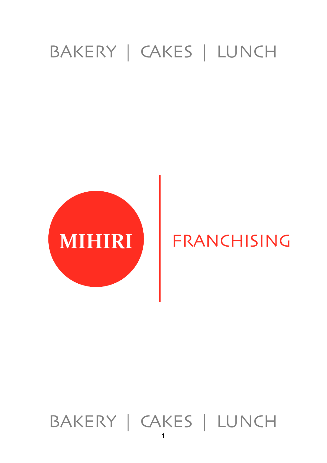# BAKERY | CAKES | LUNCH



# FRANCHISING

# BAKERY | CAKES | LUNCH

1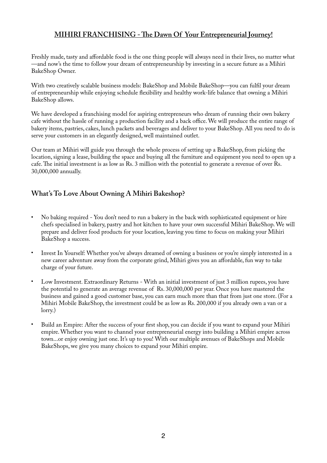## **MIHIRI FRANCHISING - Te Dawn Of Your Entrepreneurial Journey!**

Freshly made, tasty and affordable food is the one thing people will always need in their lives, no matter what —and now's the time to follow your dream of entrepreneurship by investing in a secure future as a Mihiri BakeShop Owner.

With two creatively scalable business models: BakeShop and Mobile BakeShop—you can fulfil your dream of entrepreneurship while enjoying schedule fexibility and healthy work-life balance that owning a Mihiri BakeShop allows.

We have developed a franchising model for aspiring entrepreneurs who dream of running their own bakery cafe without the hassle of running a production facility and a back office. We will produce the entire range of bakery items, pastries, cakes, lunch packets and beverages and deliver to your BakeShop. All you need to do is serve your customers in an elegantly designed, well maintained outlet.

Our team at Mihiri will guide you through the whole process of setting up a BakeShop, from picking the location, signing a lease, building the space and buying all the furniture and equipment you need to open up a cafe. The initial investment is as low as Rs. 3 million with the potential to generate a revenue of over Rs. 30,000,000 annually.

## **What's To Love About Owning A Mihiri Bakeshop?**

- No baking required You don't need to run a bakery in the back with sophisticated equipment or hire chefs specialised in bakery, pastry and hot kitchen to have your own successful Mihiri BakeShop. We will prepare and deliver food products for your location, leaving you time to focus on making your Mihiri BakeShop a success.
- Invest In Yourself: Whether you've always dreamed of owning a business or you're simply interested in a new career adventure away from the corporate grind, Mihiri gives you an affordable, fun way to take charge of your future.
- Low Investment. Extraordinary Returns With an initial investment of just 3 million rupees, you have the potential to generate an average revenue of Rs. 30,000,000 per year. Once you have mastered the business and gained a good customer base, you can earn much more than that from just one store. (For a Mihiri Mobile BakeShop, the investment could be as low as Rs. 200,000 if you already own a van or a lorry.)
- Build an Empire: After the success of your frst shop, you can decide if you want to expand your Mihiri empire. Whether you want to channel your entrepreneurial energy into building a Mihiri empire across town...or enjoy owning just one. It's up to you! With our multiple avenues of BakeShops and Mobile BakeShops, we give you many choices to expand your Mihiri empire.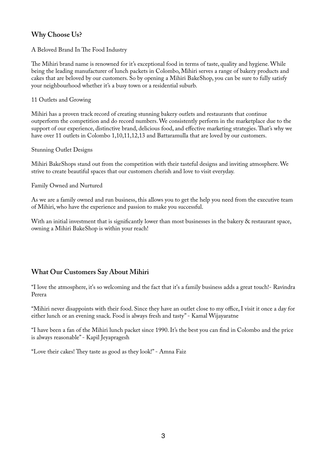## **Why Choose Us?**

A Beloved Brand In The Food Industry

The Mihiri brand name is renowned for it's exceptional food in terms of taste, quality and hygiene. While being the leading manufacturer of lunch packets in Colombo, Mihiri serves a range of bakery products and cakes that are beloved by our customers. So by opening a Mihiri BakeShop, you can be sure to fully satisfy your neighbourhood whether it's a busy town or a residential suburb.

11 Outlets and Growing

Mihiri has a proven track record of creating stunning bakery outlets and restaurants that continue outperform the competition and do record numbers. We consistently perform in the marketplace due to the support of our experience, distinctive brand, delicious food, and effective marketing strategies.Tat's why we have over 11 outlets in Colombo 1,10,11,12,13 and Battaramulla that are loved by our customers.

Stunning Outlet Designs

Mihiri BakeShops stand out from the competition with their tasteful designs and inviting atmosphere. We strive to create beautiful spaces that our customers cherish and love to visit everyday.

Family Owned and Nurtured

As we are a family owned and run business, this allows you to get the help you need from the executive team of Mihiri, who have the experience and passion to make you successful.

With an initial investment that is significantly lower than most businesses in the bakery & restaurant space, owning a Mihiri BakeShop is within your reach!

## **What Our Customers Say About Mihiri**

"I love the atmosphere, it's so welcoming and the fact that it's a family business adds a great touch!- Ravindra Perera

"Mihiri never disappoints with their food. Since they have an outlet close to my office, I visit it once a day for either lunch or an evening snack. Food is always fresh and tasty" - Kamal Wijayaratne

"I have been a fan of the Mihiri lunch packet since 1990. It's the best you can fnd in Colombo and the price is always reasonable" - Kapil Jeyapragesh

"Love their cakes! They taste as good as they look!" - Amna Faiz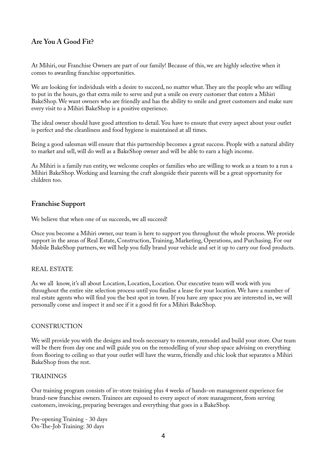## **Are You A Good Fit?**

At Mihiri, our Franchise Owners are part of our family! Because of this, we are highly selective when it comes to awarding franchise opportunities.

We are looking for individuals with a desire to succeed, no matter what. They are the people who are willing to put in the hours, go that extra mile to serve and put a smile on every customer that enters a Mihiri BakeShop. We want owners who are friendly and has the ability to smile and greet customers and make sure every visit to a Mihiri BakeShop is a positive experience.

The ideal owner should have good attention to detail. You have to ensure that every aspect about your outlet is perfect and the cleanliness and food hygiene is maintained at all times.

Being a good salesman will ensure that this partnership becomes a great success. People with a natural ability to market and sell, will do well as a BakeShop owner and will be able to earn a high income.

As Mihiri is a family run entity, we welcome couples or families who are willing to work as a team to a run a Mihiri BakeShop. Working and learning the craft alongside their parents will be a great opportunity for children too.

## **Franchise Support**

We believe that when one of us succeeds, we all succeed!

Once you become a Mihiri owner, our team is here to support you throughout the whole process. We provide support in the areas of Real Estate, Construction, Training, Marketing, Operations, and Purchasing. For our Mobile BakeShop partners, we will help you fully brand your vehicle and set it up to carry our food products.

#### REAL ESTATE

As we all know, it's all about Location, Location, Location. Our executive team will work with you throughout the entire site selection process until you fnalise a lease for your location. We have a number of real estate agents who will fnd you the best spot in town. If you have any space you are interested in, we will personally come and inspect it and see if it a good ft for a Mihiri BakeShop.

#### CONSTRUCTION

We will provide you with the designs and tools necessary to renovate, remodel and build your store. Our team will be there from day one and will guide you on the remodelling of your shop space advising on everything from fooring to ceiling so that your outlet will have the warm, friendly and chic look that separates a Mihiri BakeShop from the rest.

#### **TRAININGS**

Our training program consists of in-store training plus 4 weeks of hands-on management experience for brand-new franchise owners. Trainees are exposed to every aspect of store management, from serving customers, invoicing, preparing beverages and everything that goes in a BakeShop.

Pre-opening Training - 30 days On-The-Job Training: 30 days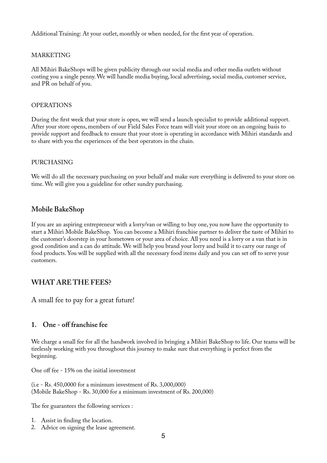Additional Training: At your outlet, monthly or when needed, for the frst year of operation.

#### MARKETING

All Mihiri BakeShops will be given publicity through our social media and other media outlets without costing you a single penny. We will handle media buying, local advertising, social media, customer service, and PR on behalf of you.

#### OPERATIONS

During the frst week that your store is open, we will send a launch specialist to provide additional support. After your store opens, members of our Field Sales Force team will visit your store on an ongoing basis to provide support and feedback to ensure that your store is operating in accordance with Mihiri standards and to share with you the experiences of the best operators in the chain.

#### PURCHASING

We will do all the necessary purchasing on your behalf and make sure everything is delivered to your store on time. We will give you a guideline for other sundry purchasing.

#### **Mobile BakeShop**

If you are an aspiring entrepreneur with a lorry/van or willing to buy one, you now have the opportunity to start a Mihiri Mobile BakeShop. You can become a Mihiri franchise partner to deliver the taste of Mihiri to the customer's doorstep in your hometown or your area of choice. All you need is a lorry or a van that is in good condition and a can do attitude. We will help you brand your lorry and build it to carry our range of food products. You will be supplied with all the necessary food items daily and you can set off to serve your customers.

### **WHAT ARE THE FEES?**

A small fee to pay for a great future!

#### **1. One - off franchise fee**

We charge a small fee for all the handwork involved in bringing a Mihiri BakeShop to life. Our teams will be tirelessly working with you throughout this journey to make sure that everything is perfect from the beginning.

One off fee - 15% on the initial investment

(i.e - Rs. 450,0000 for a minimum investment of Rs. 3,000,000) (Mobile BakeShop - Rs. 30,000 for a minimum investment of Rs. 200,000)

The fee guarantees the following services :

- 1. Assist in fnding the location.
- 2. Advice on signing the lease agreement.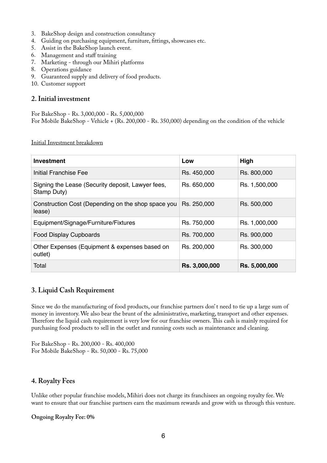- 3. BakeShop design and construction consultancy
- 4. Guiding on purchasing equipment, furniture, fttings, showcases etc.
- 5. Assist in the BakeShop launch event.
- 6. Management and staff training
- 7. Marketing through our Mihiri platforms
- 8. Operations guidance
- 9. Guaranteed supply and delivery of food products.
- 10. Customer support

#### **2. Initial investment**

For BakeShop - Rs. 3,000,000 - Rs. 5,000,000 For Mobile BakeShop - Vehicle + (Rs. 200,000 - Rs. 350,000) depending on the condition of the vehicle

Initial Investment breakdown

| <b>Investment</b>                                                | Low           | High          |
|------------------------------------------------------------------|---------------|---------------|
| Initial Franchise Fee                                            | Rs. 450,000   | Rs. 800,000   |
| Signing the Lease (Security deposit, Lawyer fees,<br>Stamp Duty) | Rs. 650,000   | Rs. 1,500,000 |
| Construction Cost (Depending on the shop space you<br>lease)     | Rs. 250,000   | Rs. 500,000   |
| Equipment/Signage/Furniture/Fixtures                             | Rs. 750,000   | Rs. 1,000,000 |
| <b>Food Display Cupboards</b>                                    | Rs. 700,000   | Rs. 900,000   |
| Other Expenses (Equipment & expenses based on<br>outlet)         | Rs. 200,000   | Rs. 300,000   |
| Total                                                            | Rs. 3,000,000 | Rs. 5,000,000 |

### **3. Liquid Cash Requirement**

Since we do the manufacturing of food products, our franchise partners don' t need to tie up a large sum of money in inventory. We also bear the brunt of the administrative, marketing, transport and other expenses. Therefore the liquid cash requirement is very low for our franchise owners. This cash is mainly required for purchasing food products to sell in the outlet and running costs such as maintenance and cleaning.

For BakeShop - Rs. 200,000 - Rs. 400,000 For Mobile BakeShop - Rs. 50,000 - Rs. 75,000

### **4. Royalty Fees**

Unlike other popular franchise models, Mihiri does not charge its franchisees an ongoing royalty fee. We want to ensure that our franchise partners earn the maximum rewards and grow with us through this venture.

#### **Ongoing Royalty Fee: 0%**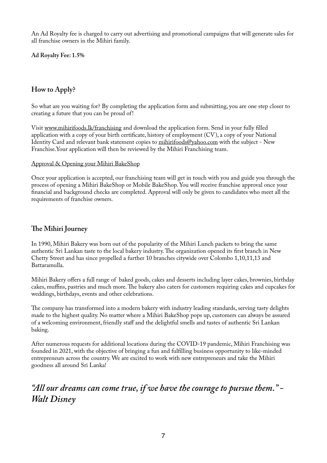An Ad Royalty fee is charged to carry out advertising and promotional campaigns that will generate sales for all franchise owners in the Mihiri family.

**Ad Royalty Fee: 1.5%**

## **How to Apply?**

So what are you waiting for? By completing the application form and submitting, you are one step closer to creating a future that you can be proud of!

Visit [www.mihirifoods.lk/franchising](http://www.mihirifoods.lk/franchising) and download the application form. Send in your fully flled application with a copy of your birth certifcate, history of employment (CV), a copy of your National Identity Card and relevant bank statement copies to [mihirifoods@yahoo.com](mailto:mihirifoods@yahoo.com) with the subject - New Franchise.Your application will then be reviewed by the Mihiri Franchising team.

#### Approval & Opening your Mihiri BakeShop

Once your application is accepted, our franchising team will get in touch with you and guide you through the process of opening a Mihiri BakeShop or Mobile BakeShop. You will receive franchise approval once your fnancial and background checks are completed. Approval will only be given to candidates who meet all the requirements of franchise owners.

## **Te Mihiri Journey**

In 1990, Mihiri Bakery was born out of the popularity of the Mihiri Lunch packets to bring the same authentic Sri Lankan taste to the local bakery industry. The organization opened its first branch in New Chetty Street and has since propelled a further 10 branches citywide over Colombo 1,10,11,13 and Battaramulla.

Mihiri Bakery offers a full range of baked goods, cakes and desserts including layer cakes, brownies, birthday cakes, muffins, pastries and much more. The bakery also caters for customers requiring cakes and cupcakes for weddings, birthdays, events and other celebrations.

The company has transformed into a modern bakery with industry leading standards, serving tasty delights made to the highest quality. No matter where a Mihiri BakeShop pops up, customers can always be assured of a welcoming environment, friendly staff and the delightful smells and tastes of authentic Sri Lankan baking.

After numerous requests for additional locations during the COVID-19 pandemic, Mihiri Franchising was founded in 2021, with the objective of bringing a fun and fulflling business opportunity to like-minded entrepreneurs across the country. We are excited to work with new entrepreneurs and take the Mihiri goodness all around Sri Lanka!

# *"All our dreams can come true, if we have the courage to pursue them." - Walt Disney*